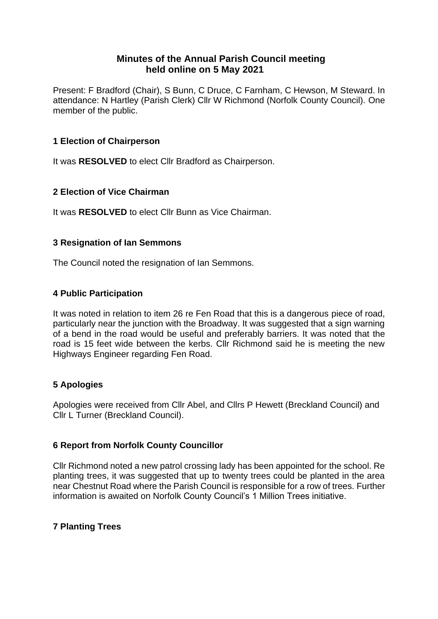# **Minutes of the Annual Parish Council meeting held online on 5 May 2021**

Present: F Bradford (Chair), S Bunn, C Druce, C Farnham, C Hewson, M Steward. In attendance: N Hartley (Parish Clerk) Cllr W Richmond (Norfolk County Council). One member of the public.

# **1 Election of Chairperson**

It was **RESOLVED** to elect Cllr Bradford as Chairperson.

# **2 Election of Vice Chairman**

It was **RESOLVED** to elect Cllr Bunn as Vice Chairman.

# **3 Resignation of Ian Semmons**

The Council noted the resignation of Ian Semmons.

### **4 Public Participation**

It was noted in relation to item 26 re Fen Road that this is a dangerous piece of road, particularly near the junction with the Broadway. It was suggested that a sign warning of a bend in the road would be useful and preferably barriers. It was noted that the road is 15 feet wide between the kerbs. Cllr Richmond said he is meeting the new Highways Engineer regarding Fen Road.

# **5 Apologies**

Apologies were received from Cllr Abel, and Cllrs P Hewett (Breckland Council) and Cllr L Turner (Breckland Council).

# **6 Report from Norfolk County Councillor**

Cllr Richmond noted a new patrol crossing lady has been appointed for the school. Re planting trees, it was suggested that up to twenty trees could be planted in the area near Chestnut Road where the Parish Council is responsible for a row of trees. Further information is awaited on Norfolk County Council's 1 Million Trees initiative.

# **7 Planting Trees**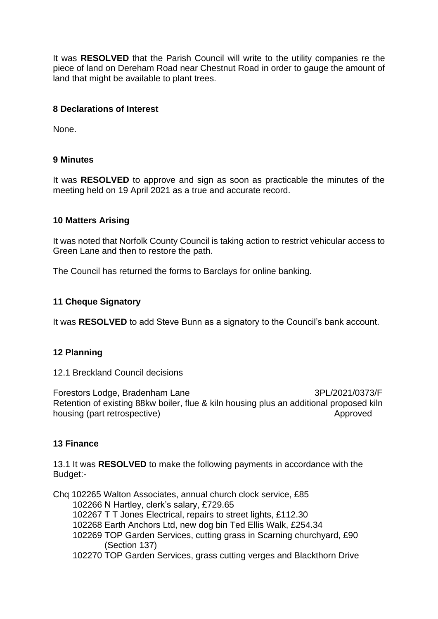It was **RESOLVED** that the Parish Council will write to the utility companies re the piece of land on Dereham Road near Chestnut Road in order to gauge the amount of land that might be available to plant trees.

### **8 Declarations of Interest**

None.

### **9 Minutes**

It was **RESOLVED** to approve and sign as soon as practicable the minutes of the meeting held on 19 April 2021 as a true and accurate record.

### **10 Matters Arising**

It was noted that Norfolk County Council is taking action to restrict vehicular access to Green Lane and then to restore the path.

The Council has returned the forms to Barclays for online banking.

### **11 Cheque Signatory**

It was **RESOLVED** to add Steve Bunn as a signatory to the Council's bank account.

### **12 Planning**

12.1 Breckland Council decisions

Forestors Lodge, Bradenham Lane 3PL/2021/0373/F Retention of existing 88kw boiler, flue & kiln housing plus an additional proposed kiln housing (part retrospective) and the contract of the Approved

### **13 Finance**

13.1 It was **RESOLVED** to make the following payments in accordance with the Budget:-

Chq 102265 Walton Associates, annual church clock service, £85 102266 N Hartley, clerk's salary, £729.65

102267 T T Jones Electrical, repairs to street lights, £112.30

102268 Earth Anchors Ltd, new dog bin Ted Ellis Walk, £254.34

- 102269 TOP Garden Services, cutting grass in Scarning churchyard, £90 (Section 137)
- 102270 TOP Garden Services, grass cutting verges and Blackthorn Drive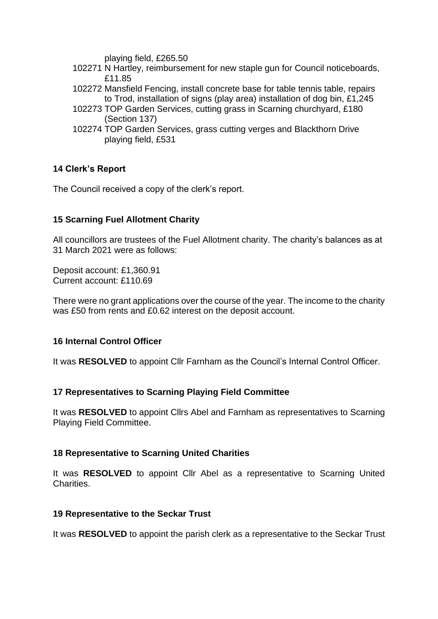playing field, £265.50

- 102271 N Hartley, reimbursement for new staple gun for Council noticeboards, £11.85
- 102272 Mansfield Fencing, install concrete base for table tennis table, repairs to Trod, installation of signs (play area) installation of dog bin, £1,245
- 102273 TOP Garden Services, cutting grass in Scarning churchyard, £180 (Section 137)
- 102274 TOP Garden Services, grass cutting verges and Blackthorn Drive playing field, £531

# **14 Clerk's Report**

The Council received a copy of the clerk's report.

### **15 Scarning Fuel Allotment Charity**

All councillors are trustees of the Fuel Allotment charity. The charity's balances as at 31 March 2021 were as follows:

Deposit account: £1,360.91 Current account: £110.69

There were no grant applications over the course of the year. The income to the charity was £50 from rents and £0.62 interest on the deposit account.

### **16 Internal Control Officer**

It was **RESOLVED** to appoint Cllr Farnham as the Council's Internal Control Officer.

### **17 Representatives to Scarning Playing Field Committee**

It was **RESOLVED** to appoint Cllrs Abel and Farnham as representatives to Scarning Playing Field Committee.

### **18 Representative to Scarning United Charities**

It was **RESOLVED** to appoint Cllr Abel as a representative to Scarning United Charities.

### **19 Representative to the Seckar Trust**

It was **RESOLVED** to appoint the parish clerk as a representative to the Seckar Trust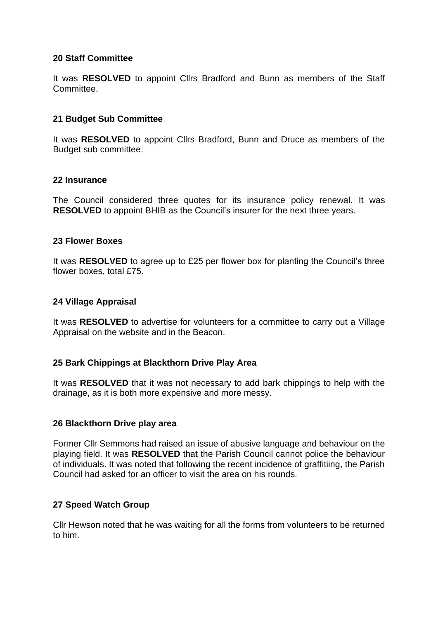### **20 Staff Committee**

It was **RESOLVED** to appoint Cllrs Bradford and Bunn as members of the Staff **Committee.** 

### **21 Budget Sub Committee**

It was **RESOLVED** to appoint Cllrs Bradford, Bunn and Druce as members of the Budget sub committee.

#### **22 Insurance**

The Council considered three quotes for its insurance policy renewal. It was **RESOLVED** to appoint BHIB as the Council's insurer for the next three years.

#### **23 Flower Boxes**

It was **RESOLVED** to agree up to £25 per flower box for planting the Council's three flower boxes, total £75.

#### **24 Village Appraisal**

It was **RESOLVED** to advertise for volunteers for a committee to carry out a Village Appraisal on the website and in the Beacon.

### **25 Bark Chippings at Blackthorn Drive Play Area**

It was **RESOLVED** that it was not necessary to add bark chippings to help with the drainage, as it is both more expensive and more messy.

### **26 Blackthorn Drive play area**

Former Cllr Semmons had raised an issue of abusive language and behaviour on the playing field. It was **RESOLVED** that the Parish Council cannot police the behaviour of individuals. It was noted that following the recent incidence of graffitiing, the Parish Council had asked for an officer to visit the area on his rounds.

### **27 Speed Watch Group**

Cllr Hewson noted that he was waiting for all the forms from volunteers to be returned to him.